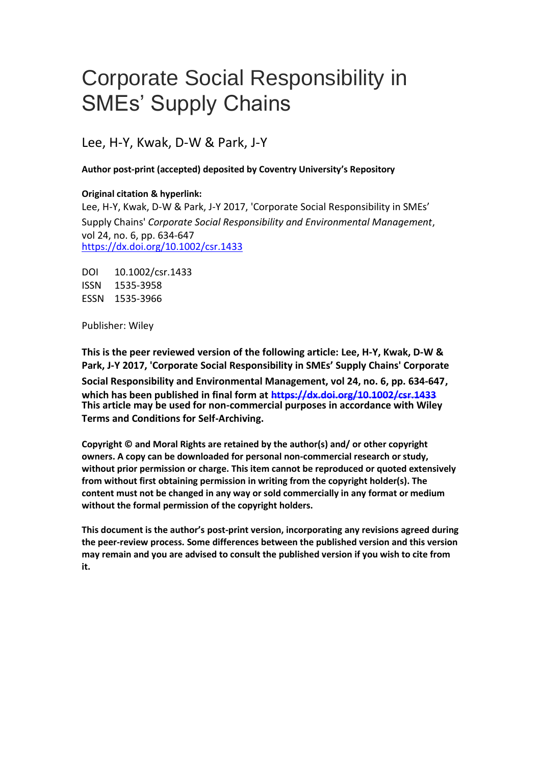# Corporate Social Responsibility in SMEs' Supply Chains

Lee, H-Y, Kwak, D-W & Park, J-Y

# **Author post-print (accepted) deposited by Coventry University's Repository**

# **Original citation & hyperlink:**

Lee, H-Y, Kwak, D-W & Park, J-Y 2017, 'Corporate Social Responsibility in SMEs' Supply Chains' *Corporate Social Responsibility and Environmental Management*, vol 24, no. 6, pp. 634-647 <https://dx.doi.org/10.1002/csr.1433>

DOI 10.1002/csr.1433 ISSN 1535-3958 ESSN 1535-3966

Publisher: Wiley

**This is the peer reviewed version of the following article: Lee, H-Y, Kwak, D-W & Park, J-Y 2017, 'Corporate Social Responsibility in SMEs' Supply Chains' Corporate Social Responsibility and Environmental Management, vol 24, no. 6, pp. 634-647, which has been published in final form at<https://dx.doi.org/10.1002/csr.1433> This article may be used for non-commercial purposes in accordance with Wiley Terms and Conditions for Self-Archiving.** 

**Copyright © and Moral Rights are retained by the author(s) and/ or other copyright owners. A copy can be downloaded for personal non-commercial research or study, without prior permission or charge. This item cannot be reproduced or quoted extensively from without first obtaining permission in writing from the copyright holder(s). The content must not be changed in any way or sold commercially in any format or medium without the formal permission of the copyright holders.** 

**This document is the author's post-print version, incorporating any revisions agreed during the peer-review process. Some differences between the published version and this version may remain and you are advised to consult the published version if you wish to cite from it.**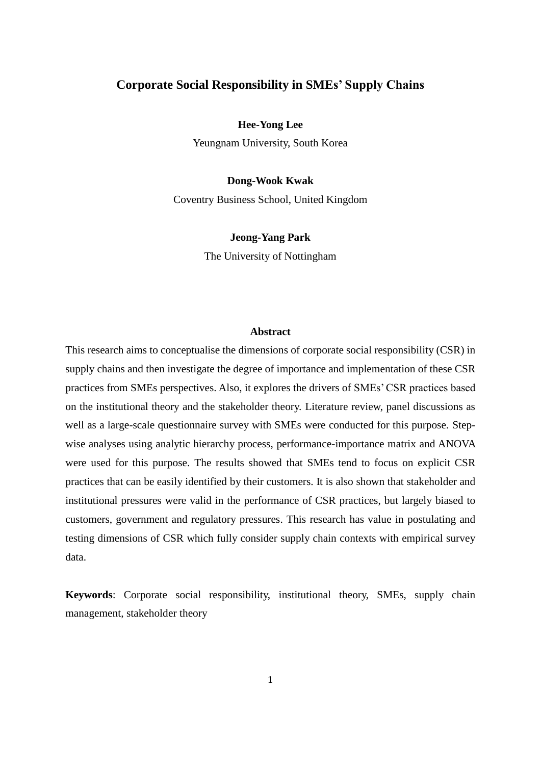# **Corporate Social Responsibility in SMEs' Supply Chains**

# **Hee-Yong Lee**

Yeungnam University, South Korea

## **Dong-Wook Kwak**

Coventry Business School, United Kingdom

## **Jeong-Yang Park**

The University of Nottingham

#### **Abstract**

This research aims to conceptualise the dimensions of corporate social responsibility (CSR) in supply chains and then investigate the degree of importance and implementation of these CSR practices from SMEs perspectives. Also, it explores the drivers of SMEs' CSR practices based on the institutional theory and the stakeholder theory. Literature review, panel discussions as well as a large-scale questionnaire survey with SMEs were conducted for this purpose. Stepwise analyses using analytic hierarchy process, performance-importance matrix and ANOVA were used for this purpose. The results showed that SMEs tend to focus on explicit CSR practices that can be easily identified by their customers. It is also shown that stakeholder and institutional pressures were valid in the performance of CSR practices, but largely biased to customers, government and regulatory pressures. This research has value in postulating and testing dimensions of CSR which fully consider supply chain contexts with empirical survey data.

**Keywords**: Corporate social responsibility, institutional theory, SMEs, supply chain management, stakeholder theory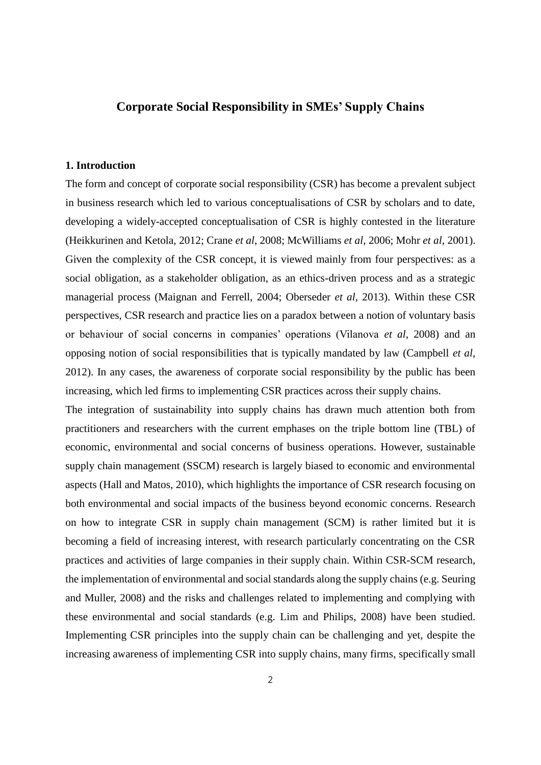# **Corporate Social Responsibility in SMEs' Supply Chains**

## **1. Introduction**

The form and concept of corporate social responsibility (CSR) has become a prevalent subject in business research which led to various conceptualisations of CSR by scholars and to date, developing a widely-accepted conceptualisation of CSR is highly contested in the literature (Heikkurinen and Ketola, 2012; Crane *et al*, 2008; McWilliams *et al*, 2006; Mohr *et al*, 2001). Given the complexity of the CSR concept, it is viewed mainly from four perspectives: as a social obligation, as a stakeholder obligation, as an ethics-driven process and as a strategic managerial process (Maignan and Ferrell, 2004; Oberseder *et al*, 2013). Within these CSR perspectives, CSR research and practice lies on a paradox between a notion of voluntary basis or behaviour of social concerns in companies' operations (Vilanova *et al*, 2008) and an opposing notion of social responsibilities that is typically mandated by law (Campbell *et al*, 2012). In any cases, the awareness of corporate social responsibility by the public has been increasing, which led firms to implementing CSR practices across their supply chains.

The integration of sustainability into supply chains has drawn much attention both from practitioners and researchers with the current emphases on the triple bottom line (TBL) of economic, environmental and social concerns of business operations. However, sustainable supply chain management (SSCM) research is largely biased to economic and environmental aspects (Hall and Matos, 2010), which highlights the importance of CSR research focusing on both environmental and social impacts of the business beyond economic concerns. Research on how to integrate CSR in supply chain management (SCM) is rather limited but it is becoming a field of increasing interest, with research particularly concentrating on the CSR practices and activities of large companies in their supply chain. Within CSR-SCM research, the implementation of environmental and social standards along the supply chains (e.g. Seuring and Muller, 2008) and the risks and challenges related to implementing and complying with these environmental and social standards (e.g. Lim and Philips, 2008) have been studied. Implementing CSR principles into the supply chain can be challenging and yet, despite the increasing awareness of implementing CSR into supply chains, many firms, specifically small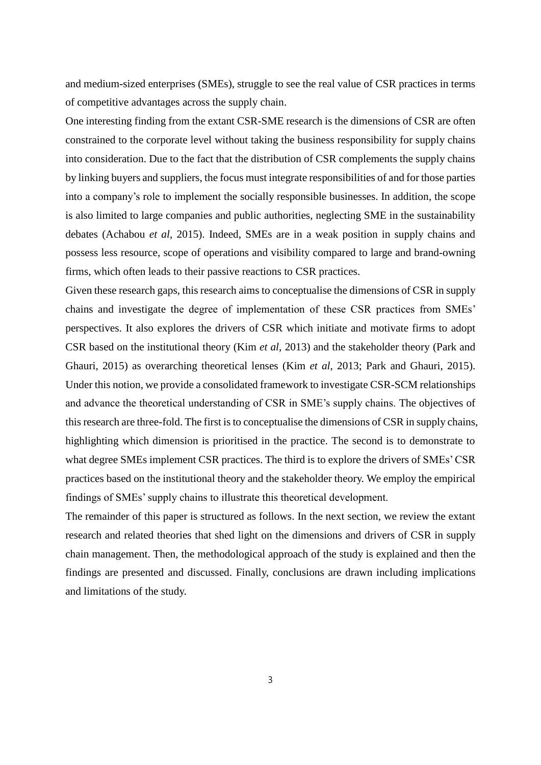and medium-sized enterprises (SMEs), struggle to see the real value of CSR practices in terms of competitive advantages across the supply chain.

One interesting finding from the extant CSR-SME research is the dimensions of CSR are often constrained to the corporate level without taking the business responsibility for supply chains into consideration. Due to the fact that the distribution of CSR complements the supply chains by linking buyers and suppliers, the focus must integrate responsibilities of and for those parties into a company's role to implement the socially responsible businesses. In addition, the scope is also limited to large companies and public authorities, neglecting SME in the sustainability debates (Achabou *et al*, 2015). Indeed, SMEs are in a weak position in supply chains and possess less resource, scope of operations and visibility compared to large and brand-owning firms, which often leads to their passive reactions to CSR practices.

Given these research gaps, this research aims to conceptualise the dimensions of CSR in supply chains and investigate the degree of implementation of these CSR practices from SMEs' perspectives. It also explores the drivers of CSR which initiate and motivate firms to adopt CSR based on the institutional theory (Kim *et al*, 2013) and the stakeholder theory (Park and Ghauri, 2015) as overarching theoretical lenses (Kim *et al*, 2013; Park and Ghauri, 2015). Under this notion, we provide a consolidated framework to investigate CSR-SCM relationships and advance the theoretical understanding of CSR in SME's supply chains. The objectives of this research are three-fold. The first is to conceptualise the dimensions of CSR in supply chains, highlighting which dimension is prioritised in the practice. The second is to demonstrate to what degree SMEs implement CSR practices. The third is to explore the drivers of SMEs' CSR practices based on the institutional theory and the stakeholder theory. We employ the empirical findings of SMEs' supply chains to illustrate this theoretical development.

The remainder of this paper is structured as follows. In the next section, we review the extant research and related theories that shed light on the dimensions and drivers of CSR in supply chain management. Then, the methodological approach of the study is explained and then the findings are presented and discussed. Finally, conclusions are drawn including implications and limitations of the study.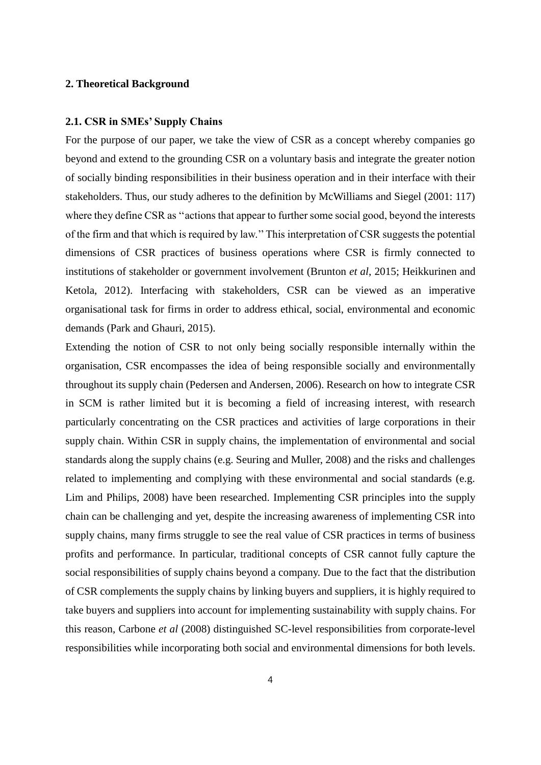## **2. Theoretical Background**

### **2.1. CSR in SMEs' Supply Chains**

For the purpose of our paper, we take the view of CSR as a concept whereby companies go beyond and extend to the grounding CSR on a voluntary basis and integrate the greater notion of socially binding responsibilities in their business operation and in their interface with their stakeholders. Thus, our study adheres to the definition by McWilliams and Siegel (2001: 117) where they define CSR as ''actions that appear to further some social good, beyond the interests of the firm and that which is required by law.'' This interpretation of CSR suggests the potential dimensions of CSR practices of business operations where CSR is firmly connected to institutions of stakeholder or government involvement (Brunton *et al*, 2015; Heikkurinen and Ketola, 2012). Interfacing with stakeholders, CSR can be viewed as an imperative organisational task for firms in order to address ethical, social, environmental and economic demands (Park and Ghauri, 2015).

Extending the notion of CSR to not only being socially responsible internally within the organisation, CSR encompasses the idea of being responsible socially and environmentally throughout its supply chain (Pedersen and Andersen, 2006). Research on how to integrate CSR in SCM is rather limited but it is becoming a field of increasing interest, with research particularly concentrating on the CSR practices and activities of large corporations in their supply chain. Within CSR in supply chains, the implementation of environmental and social standards along the supply chains (e.g. Seuring and Muller, 2008) and the risks and challenges related to implementing and complying with these environmental and social standards (e.g. Lim and Philips, 2008) have been researched. Implementing CSR principles into the supply chain can be challenging and yet, despite the increasing awareness of implementing CSR into supply chains, many firms struggle to see the real value of CSR practices in terms of business profits and performance. In particular, traditional concepts of CSR cannot fully capture the social responsibilities of supply chains beyond a company. Due to the fact that the distribution of CSR complements the supply chains by linking buyers and suppliers, it is highly required to take buyers and suppliers into account for implementing sustainability with supply chains. For this reason, Carbone *et al* (2008) distinguished SC-level responsibilities from corporate-level responsibilities while incorporating both social and environmental dimensions for both levels.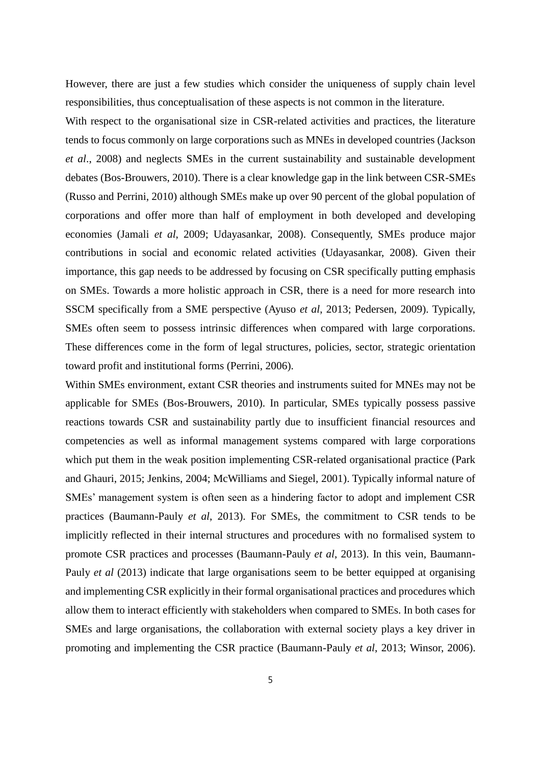However, there are just a few studies which consider the uniqueness of supply chain level responsibilities, thus conceptualisation of these aspects is not common in the literature.

With respect to the organisational size in CSR-related activities and practices, the literature tends to focus commonly on large corporations such as MNEs in developed countries (Jackson *et al*., 2008) and neglects SMEs in the current sustainability and sustainable development debates (Bos-Brouwers, 2010). There is a clear knowledge gap in the link between CSR-SMEs (Russo and Perrini, 2010) although SMEs make up over 90 percent of the global population of corporations and offer more than half of employment in both developed and developing economies (Jamali *et al*, 2009; Udayasankar, 2008). Consequently, SMEs produce major contributions in social and economic related activities (Udayasankar, 2008). Given their importance, this gap needs to be addressed by focusing on CSR specifically putting emphasis on SMEs. Towards a more holistic approach in CSR, there is a need for more research into SSCM specifically from a SME perspective (Ayuso *et al*, 2013; Pedersen, 2009). Typically, SMEs often seem to possess intrinsic differences when compared with large corporations. These differences come in the form of legal structures, policies, sector, strategic orientation toward profit and institutional forms (Perrini, 2006).

Within SMEs environment, extant CSR theories and instruments suited for MNEs may not be applicable for SMEs (Bos-Brouwers, 2010). In particular, SMEs typically possess passive reactions towards CSR and sustainability partly due to insufficient financial resources and competencies as well as informal management systems compared with large corporations which put them in the weak position implementing CSR-related organisational practice (Park and Ghauri, 2015; Jenkins, 2004; McWilliams and Siegel, 2001). Typically informal nature of SMEs' management system is often seen as a hindering factor to adopt and implement CSR practices (Baumann-Pauly *et al*, 2013). For SMEs, the commitment to CSR tends to be implicitly reflected in their internal structures and procedures with no formalised system to promote CSR practices and processes (Baumann-Pauly *et al*, 2013). In this vein, Baumann-Pauly *et al* (2013) indicate that large organisations seem to be better equipped at organising and implementing CSR explicitly in their formal organisational practices and procedures which allow them to interact efficiently with stakeholders when compared to SMEs. In both cases for SMEs and large organisations, the collaboration with external society plays a key driver in promoting and implementing the CSR practice (Baumann-Pauly *et al*, 2013; Winsor, 2006).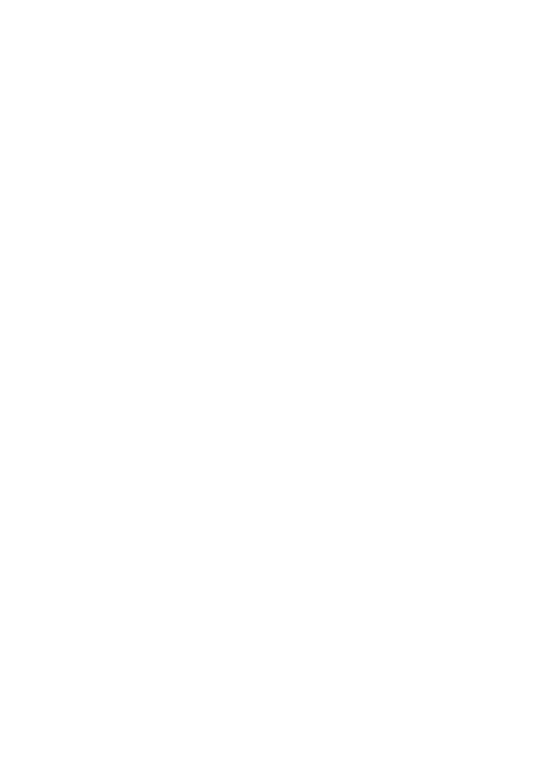# **Corporate Social Responsibility in** 60(V¶ 6XSSO\ &KDLQV

# Lee, H-Y, Kwak, D-W & Park, J-Y

Author post-print (accepted) deposited by Coventry **h**iversity  $\begin{bmatrix} \bullet & Z & \% \\ 0 & 0 & 0 \end{bmatrix} \cdot \begin{bmatrix} \bullet & \bullet & 0 \\ 0 & 0 & 0 \end{bmatrix} \cdot \begin{bmatrix} \bullet & \bullet & 0 \\ 0 & 0 & 0 \end{bmatrix} \cdot \begin{bmatrix} \bullet & \bullet & 0 \\ 0 & 0 & 0 \end{bmatrix}$ 

Original citation & hyperlink: Lee, H-Y, Kwak, D-W & Park, J-Y 2017,  $CE$  ‰ } Œ š ^ } ] o Z • ‰ } v • ] ] o ] š Ç ] v ^ l Supply Chains' Corporate Social Responsibility and Environmental Management  $\hat{A}$  } o  $\hat{B}$  ð Uppv. }ò $X$ i ð ò r ò ð ó https://dx.doi.org/10.1002/csr.1433

**DOI** 10.1002/csr.1433 ISSN 1535-3958 ESSN 1535-3966

Publisher: Wiley

This is the peer reviewed version of the following article: Lee,  $H$ - $\mathbb{K}$ ak, D-W & *Park, J*-z îiíóU - } Œ ‰ } Œ š ^} ] o Z •‰ } v•] ] o ] š Ç ] v ^ D •[ ^ µ ‰ % Social Responsibility and Environmental Management, vol  $\hat{\mathfrak{d}} \cup \{v\} \times \delta$ , pp.  $\hat{\mathfrak{o}} \cup \hat{\mathfrak{d}} \cap \hat{\mathfrak{o}} \cap \delta$ which has been published in final form at https: *dx. doi.org/004csr. 1433* This article may be used for non-commercial purposes in accordance with Wiley Terms and Conditions for Self-Archiving.

Copyright  $\mathcal{Q}$ nd Moral Rights are retained by the author(s) and/or other copyright owners. A copy can be downloaded for personal non-commercial research or study, without prior permission or charge. This item cannot be reproduced or goted extensively from without first obtaining permission in writing from the copyright holder(s). The content must not be changed in any way or sold commercially in any format or medium without the formal permission of the copyright holders.

 $dZ$  |  $\bullet$  $\}$   $\mu$  u v š  $\cdot$   $\bullet$  *š*  $\phi$ *ost-prišt* $\alpha$ *er Sb<sub>k</sub> incorporating any revisions agreed during* the peer-review process. Some differences between the published version and this version may remain and you are advised to consult the published version if you wish to cite from  $it$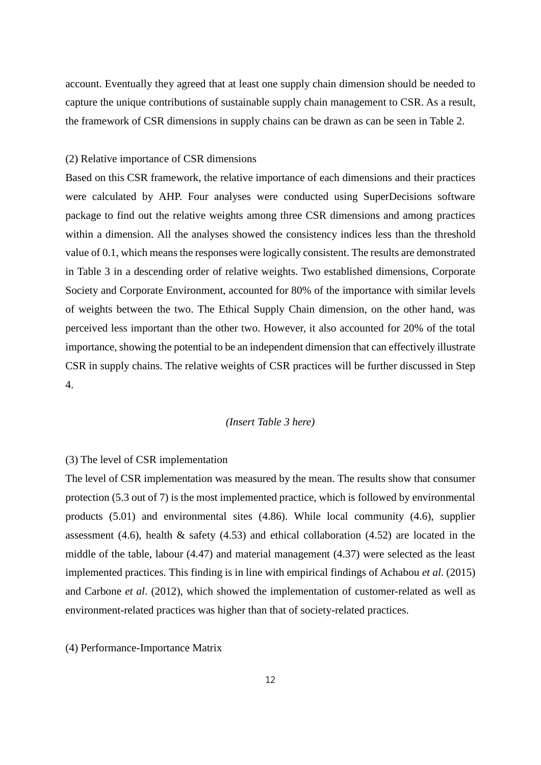account. Eventually they agreed that at least one supply chain dimension should be needed to capture the unique contributions of sustainable supply chain management to CSR. As a result, the framework of CSR dimensions in supply chains can be drawn as can be seen in Table 2.

### (2) Relative importance of CSR dimensions

Based on this CSR framework, the relative importance of each dimensions and their practices were calculated by AHP. Four analyses were conducted using SuperDecisions software package to find out the relative weights among three CSR dimensions and among practices within a dimension. All the analyses showed the consistency indices less than the threshold value of 0.1, which means the responses were logically consistent. The results are demonstrated in Table 3 in a descending order of relative weights. Two established dimensions, Corporate Society and Corporate Environment, accounted for 80% of the importance with similar levels of weights between the two. The Ethical Supply Chain dimension, on the other hand, was perceived less important than the other two. However, it also accounted for 20% of the total importance, showing the potential to be an independent dimension that can effectively illustrate CSR in supply chains. The relative weights of CSR practices will be further discussed in Step 4.

## *(Insert Table 3 here)*

## (3) The level of CSR implementation

The level of CSR implementation was measured by the mean. The results show that consumer protection (5.3 out of 7) is the most implemented practice, which is followed by environmental products (5.01) and environmental sites (4.86). While local community (4.6), supplier assessment  $(4.6)$ , health & safety  $(4.53)$  and ethical collaboration  $(4.52)$  are located in the middle of the table, labour (4.47) and material management (4.37) were selected as the least implemented practices. This finding is in line with empirical findings of Achabou *et al*. (2015) and Carbone *et al*. (2012), which showed the implementation of customer-related as well as environment-related practices was higher than that of society-related practices.

## (4) Performance-Importance Matrix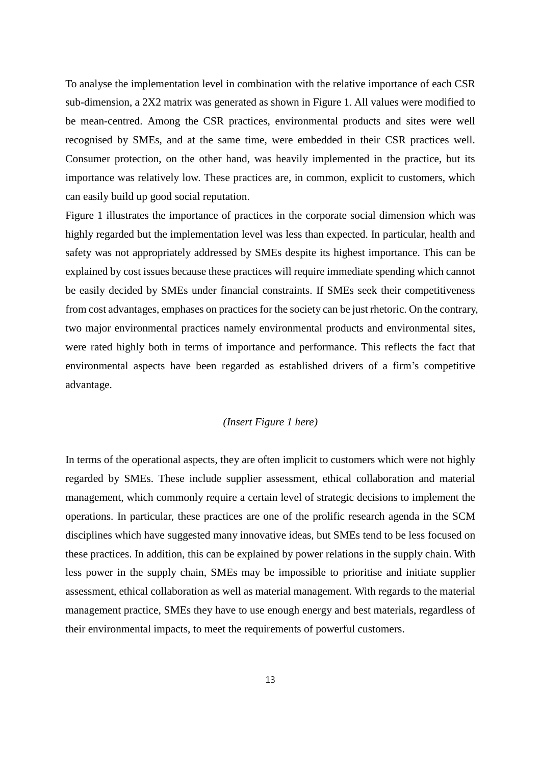To analyse the implementation level in combination with the relative importance of each CSR sub-dimension, a 2X2 matrix was generated as shown in Figure 1. All values were modified to be mean-centred. Among the CSR practices, environmental products and sites were well recognised by SMEs, and at the same time, were embedded in their CSR practices well. Consumer protection, on the other hand, was heavily implemented in the practice, but its importance was relatively low. These practices are, in common, explicit to customers, which can easily build up good social reputation.

Figure 1 illustrates the importance of practices in the corporate social dimension which was highly regarded but the implementation level was less than expected. In particular, health and safety was not appropriately addressed by SMEs despite its highest importance. This can be explained by cost issues because these practices will require immediate spending which cannot be easily decided by SMEs under financial constraints. If SMEs seek their competitiveness from cost advantages, emphases on practices for the society can be just rhetoric. On the contrary, two major environmental practices namely environmental products and environmental sites, were rated highly both in terms of importance and performance. This reflects the fact that environmental aspects have been regarded as established drivers of a firm's competitive advantage.

## *(Insert Figure 1 here)*

In terms of the operational aspects, they are often implicit to customers which were not highly regarded by SMEs. These include supplier assessment, ethical collaboration and material management, which commonly require a certain level of strategic decisions to implement the operations. In particular, these practices are one of the prolific research agenda in the SCM disciplines which have suggested many innovative ideas, but SMEs tend to be less focused on these practices. In addition, this can be explained by power relations in the supply chain. With less power in the supply chain, SMEs may be impossible to prioritise and initiate supplier assessment, ethical collaboration as well as material management. With regards to the material management practice, SMEs they have to use enough energy and best materials, regardless of their environmental impacts, to meet the requirements of powerful customers.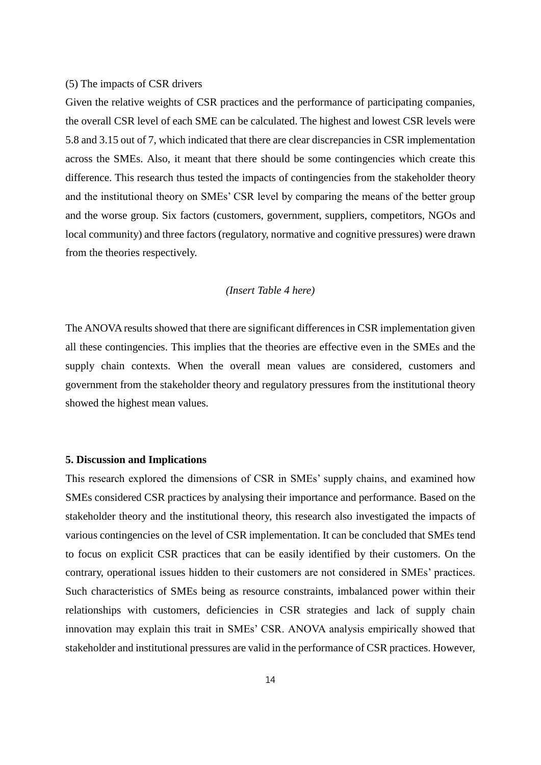## (5) The impacts of CSR drivers

Given the relative weights of CSR practices and the performance of participating companies, the overall CSR level of each SME can be calculated. The highest and lowest CSR levels were 5.8 and 3.15 out of 7, which indicated that there are clear discrepancies in CSR implementation across the SMEs. Also, it meant that there should be some contingencies which create this difference. This research thus tested the impacts of contingencies from the stakeholder theory and the institutional theory on SMEs' CSR level by comparing the means of the better group and the worse group. Six factors (customers, government, suppliers, competitors, NGOs and local community) and three factors (regulatory, normative and cognitive pressures) were drawn from the theories respectively.

## *(Insert Table 4 here)*

The ANOVA results showed that there are significant differences in CSR implementation given all these contingencies. This implies that the theories are effective even in the SMEs and the supply chain contexts. When the overall mean values are considered, customers and government from the stakeholder theory and regulatory pressures from the institutional theory showed the highest mean values.

## **5. Discussion and Implications**

This research explored the dimensions of CSR in SMEs' supply chains, and examined how SMEs considered CSR practices by analysing their importance and performance. Based on the stakeholder theory and the institutional theory, this research also investigated the impacts of various contingencies on the level of CSR implementation. It can be concluded that SMEs tend to focus on explicit CSR practices that can be easily identified by their customers. On the contrary, operational issues hidden to their customers are not considered in SMEs' practices. Such characteristics of SMEs being as resource constraints, imbalanced power within their relationships with customers, deficiencies in CSR strategies and lack of supply chain innovation may explain this trait in SMEs' CSR. ANOVA analysis empirically showed that stakeholder and institutional pressures are valid in the performance of CSR practices. However,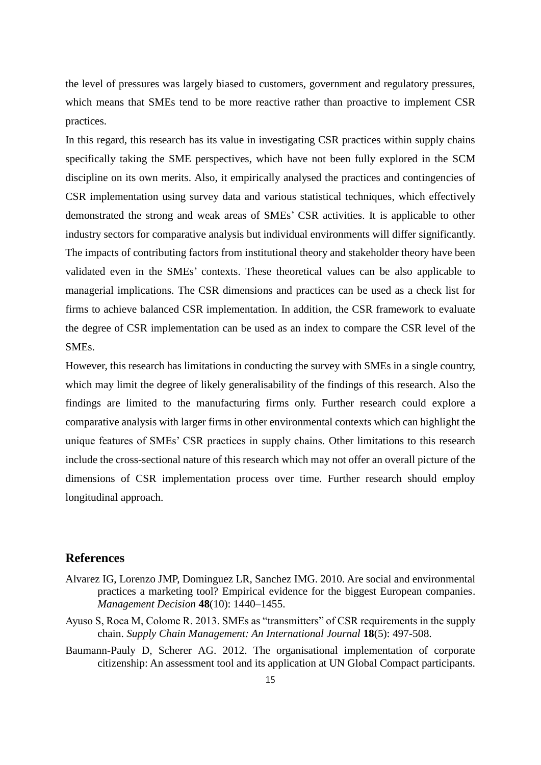the level of pressures was largely biased to customers, government and regulatory pressures, which means that SMEs tend to be more reactive rather than proactive to implement CSR practices.

In this regard, this research has its value in investigating CSR practices within supply chains specifically taking the SME perspectives, which have not been fully explored in the SCM discipline on its own merits. Also, it empirically analysed the practices and contingencies of CSR implementation using survey data and various statistical techniques, which effectively demonstrated the strong and weak areas of SMEs' CSR activities. It is applicable to other industry sectors for comparative analysis but individual environments will differ significantly. The impacts of contributing factors from institutional theory and stakeholder theory have been validated even in the SMEs' contexts. These theoretical values can be also applicable to managerial implications. The CSR dimensions and practices can be used as a check list for firms to achieve balanced CSR implementation. In addition, the CSR framework to evaluate the degree of CSR implementation can be used as an index to compare the CSR level of the SMEs.

However, this research has limitations in conducting the survey with SMEs in a single country, which may limit the degree of likely generalisability of the findings of this research. Also the findings are limited to the manufacturing firms only. Further research could explore a comparative analysis with larger firms in other environmental contexts which can highlight the unique features of SMEs' CSR practices in supply chains. Other limitations to this research include the cross-sectional nature of this research which may not offer an overall picture of the dimensions of CSR implementation process over time. Further research should employ longitudinal approach.

# **References**

- Alvarez IG, Lorenzo JMP, Dominguez LR, Sanchez IMG. 2010. Are social and environmental practices a marketing tool? Empirical evidence for the biggest European companies. *Management Decision* **48**(10): 1440–1455.
- Ayuso S, Roca M, Colome R. 2013. SMEs as "transmitters" of CSR requirements in the supply chain. *Supply Chain Management: An International Journal* **18**(5): 497-508.
- Baumann-Pauly D, Scherer AG. 2012. The organisational implementation of corporate citizenship: An assessment tool and its application at UN Global Compact participants.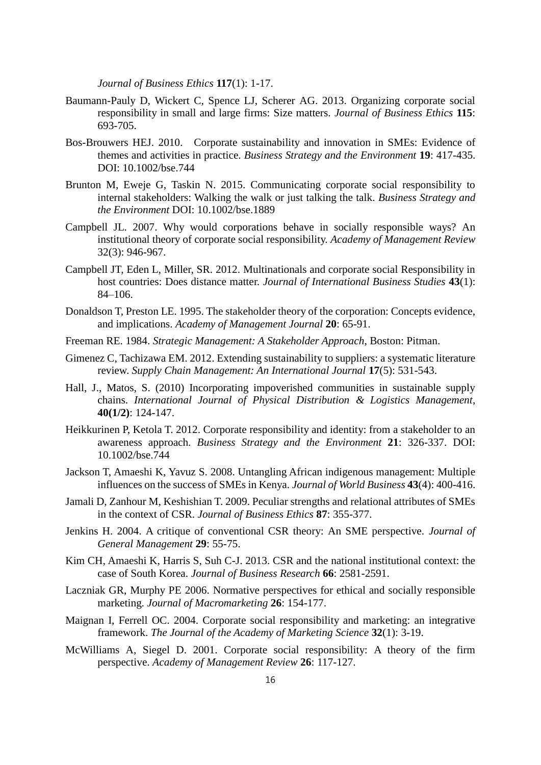*Journal of Business Ethics* **117**(1): 1-17.

- Baumann-Pauly D, Wickert C, Spence LJ, Scherer AG. 2013. Organizing corporate social responsibility in small and large firms: Size matters. *Journal of Business Ethics* **115**: 693-705.
- Bos-Brouwers HEJ. 2010. Corporate sustainability and innovation in SMEs: Evidence of themes and activities in practice. *Business Strategy and the Environment* **19**: 417-435. DOI: 10.1002/bse.744
- Brunton M, Eweje G, Taskin N. 2015. Communicating corporate social responsibility to internal stakeholders: Walking the walk or just talking the talk. *Business Strategy and the Environment* DOI: 10.1002/bse.1889
- Campbell JL. 2007. Why would corporations behave in socially responsible ways? An institutional theory of corporate social responsibility. *Academy of Management Review* 32(3): 946-967.
- Campbell JT, Eden L, Miller, SR. 2012. Multinationals and corporate social Responsibility in host countries: Does distance matter. *Journal of International Business Studies* **43**(1): 84–106.
- Donaldson T, Preston LE. 1995. The stakeholder theory of the corporation: Concepts evidence, and implications. *Academy of Management Journal* **20**: 65-91.
- Freeman RE. 1984. *Strategic Management: A Stakeholder Approach*, Boston: Pitman.
- Gimenez C, Tachizawa EM. 2012. Extending sustainability to suppliers: a systematic literature review. *Supply Chain Management: An International Journal* **17**(5): 531-543.
- Hall, J., Matos, S. (2010) Incorporating impoverished communities in sustainable supply chains. *International Journal of Physical Distribution & Logistics Management*, **40(1/2)**: 124-147.
- Heikkurinen P, Ketola T. 2012. Corporate responsibility and identity: from a stakeholder to an awareness approach. *Business Strategy and the Environment* **21**: 326-337. DOI: 10.1002/bse.744
- Jackson T, Amaeshi K, Yavuz S. 2008. Untangling African indigenous management: Multiple influences on the success of SMEs in Kenya. *Journal of World Business* **43**(4): 400-416.
- Jamali D, Zanhour M, Keshishian T. 2009. Peculiar strengths and relational attributes of SMEs in the context of CSR. *Journal of Business Ethics* **87**: 355-377.
- Jenkins H. 2004. A critique of conventional CSR theory: An SME perspective. *Journal of General Management* **29**: 55-75.
- Kim CH, Amaeshi K, Harris S, Suh C-J. 2013. CSR and the national institutional context: the case of South Korea. *Journal of Business Research* **66**: 2581-2591.
- Laczniak GR, Murphy PE 2006. Normative perspectives for ethical and socially responsible marketing. *Journal of Macromarketing* **26**: 154-177.
- Maignan I, Ferrell OC. 2004. Corporate social responsibility and marketing: an integrative framework. *The Journal of the Academy of Marketing Science* **32**(1): 3-19.
- McWilliams A, Siegel D. 2001. Corporate social responsibility: A theory of the firm perspective. *Academy of Management Review* **26**: 117-127.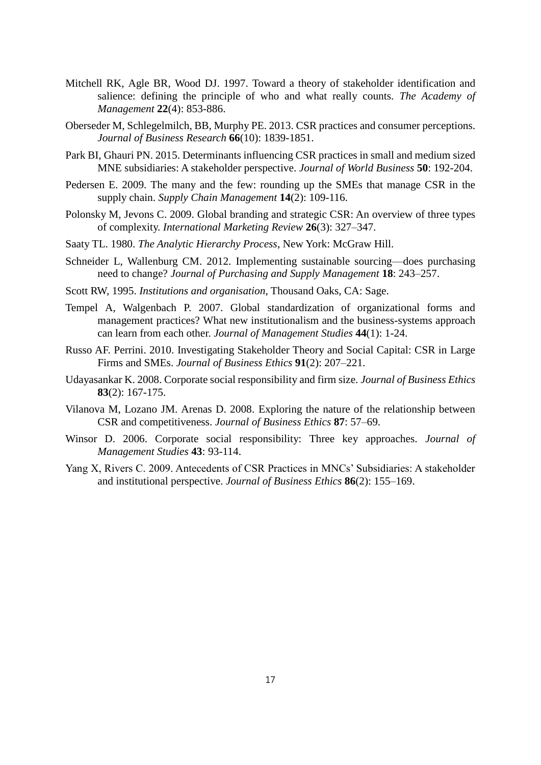- Mitchell RK, Agle BR, Wood DJ. 1997. Toward a theory of stakeholder identification and salience: defining the principle of who and what really counts. *The Academy of Management* **22**(4): 853-886.
- Oberseder M, Schlegelmilch, BB, Murphy PE. 2013. CSR practices and consumer perceptions. *Journal of Business Research* **66**(10): 1839-1851.
- Park BI, Ghauri PN. 2015. Determinants influencing CSR practices in small and medium sized MNE subsidiaries: A stakeholder perspective. *Journal of World Business* **50**: 192-204.
- Pedersen E. 2009. The many and the few: rounding up the SMEs that manage CSR in the supply chain. *Supply Chain Management* **14**(2): 109-116.
- Polonsky M, Jevons C. 2009. Global branding and strategic CSR: An overview of three types of complexity. *International Marketing Review* **26**(3): 327–347.
- Saaty TL. 1980. *The Analytic Hierarchy Process*, New York: McGraw Hill.
- Schneider L, Wallenburg CM. 2012. Implementing sustainable sourcing—does purchasing need to change? *Journal of Purchasing and Supply Management* **18**: 243–257.
- Scott RW, 1995. *Institutions and organisation*, Thousand Oaks, CA: Sage.
- Tempel A, Walgenbach P. 2007. Global standardization of organizational forms and management practices? What new institutionalism and the business-systems approach can learn from each other. *Journal of Management Studies* **44**(1): 1-24.
- Russo AF. Perrini. 2010. Investigating Stakeholder Theory and Social Capital: CSR in Large Firms and SMEs. *Journal of Business Ethics* **91**(2): 207–221.
- Udayasankar K. 2008. Corporate social responsibility and firm size. *Journal of Business Ethics* **83**(2): 167-175.
- Vilanova M, Lozano JM. Arenas D. 2008. Exploring the nature of the relationship between CSR and competitiveness. *Journal of Business Ethics* **87**: 57–69.
- Winsor D. 2006. Corporate social responsibility: Three key approaches. *Journal of Management Studies* **43**: 93-114.
- Yang X, Rivers C. 2009. Antecedents of CSR Practices in MNCs' Subsidiaries: A stakeholder and institutional perspective. *Journal of Business Ethics* **86**(2): 155–169.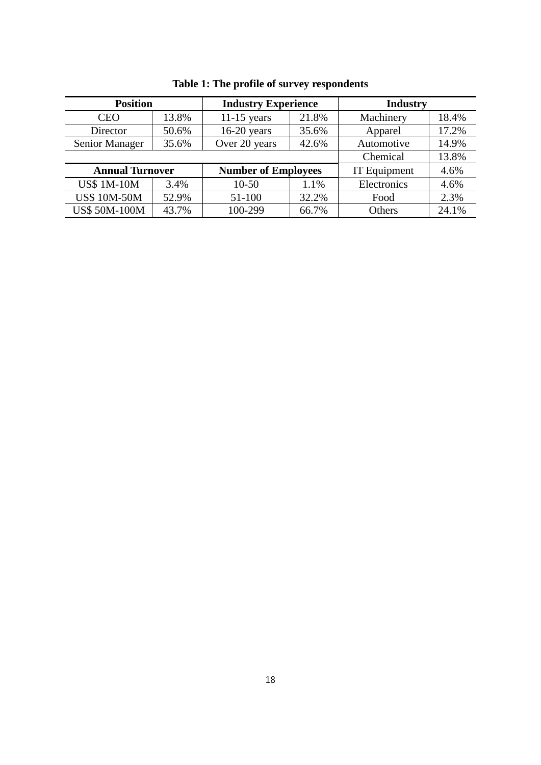| <b>Position</b>        |       | <b>Industry Experience</b> |       | <b>Industry</b> |       |  |
|------------------------|-------|----------------------------|-------|-----------------|-------|--|
| <b>CEO</b>             | 13.8% | $11-15$ years              | 21.8% | Machinery       |       |  |
| Director               | 50.6% | $16-20$ years              | 35.6% | Apparel         | 17.2% |  |
| Senior Manager         | 35.6% | Over 20 years              | 42.6% | Automotive      | 14.9% |  |
|                        |       |                            |       | Chemical        | 13.8% |  |
| <b>Annual Turnover</b> |       | <b>Number of Employees</b> |       | IT Equipment    | 4.6%  |  |
| <b>US\$ 1M-10M</b>     | 3.4%  | $10-50$                    | 1.1%  | Electronics     | 4.6%  |  |
| <b>US\$ 10M-50M</b>    | 52.9% | 51-100                     | 32.2% | Food            | 2.3%  |  |
| <b>US\$ 50M-100M</b>   | 43.7% | 100-299                    | 66.7% | Others          | 24.1% |  |

|  | Table 1: The profile of survey respondents |
|--|--------------------------------------------|
|  |                                            |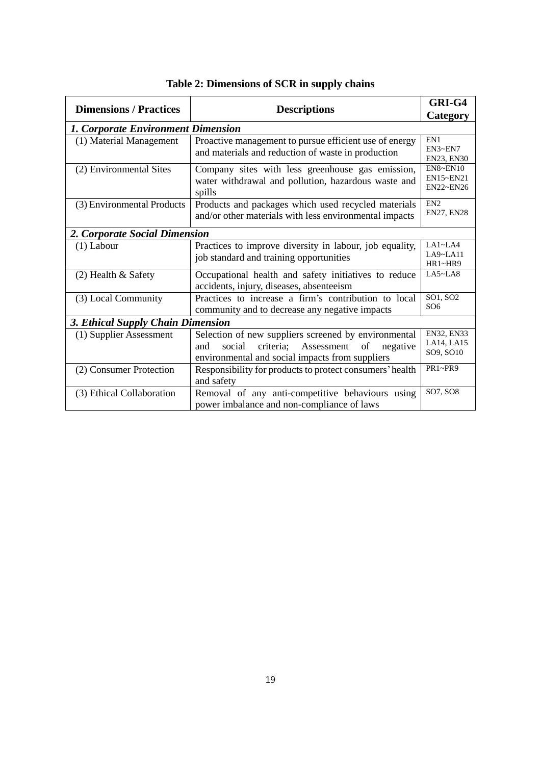| <b>Dimensions / Practices</b>      | <b>Descriptions</b>                                                                                                                                                   | GRI-G4                                           |  |  |  |
|------------------------------------|-----------------------------------------------------------------------------------------------------------------------------------------------------------------------|--------------------------------------------------|--|--|--|
|                                    |                                                                                                                                                                       | Category                                         |  |  |  |
| 1. Corporate Environment Dimension |                                                                                                                                                                       |                                                  |  |  |  |
| (1) Material Management            | Proactive management to pursue efficient use of energy<br>and materials and reduction of waste in production                                                          | EN1<br>EN3~EN7<br>EN23, EN30                     |  |  |  |
| (2) Environmental Sites            | Company sites with less greenhouse gas emission,<br>water withdrawal and pollution, hazardous waste and<br>spills                                                     | <b>EN8~EN10</b><br>EN15~EN21<br><b>EN22~EN26</b> |  |  |  |
| (3) Environmental Products         | Products and packages which used recycled materials<br>and/or other materials with less environmental impacts                                                         | EN <sub>2</sub><br>EN27, EN28                    |  |  |  |
| 2. Corporate Social Dimension      |                                                                                                                                                                       |                                                  |  |  |  |
| $(1)$ Labour                       | Practices to improve diversity in labour, job equality,<br>job standard and training opportunities                                                                    | LA1~LAA<br>LA9~LA11<br>HR1~HR9                   |  |  |  |
| (2) Health & Safety                | Occupational health and safety initiatives to reduce<br>accidents, injury, diseases, absenteeism                                                                      | LA5~LA8                                          |  |  |  |
| (3) Local Community                | Practices to increase a firm's contribution to local<br>community and to decrease any negative impacts                                                                | SO1, SO2<br>SO <sub>6</sub>                      |  |  |  |
| 3. Ethical Supply Chain Dimension  |                                                                                                                                                                       |                                                  |  |  |  |
| (1) Supplier Assessment            | Selection of new suppliers screened by environmental<br>criteria;<br>of<br>Assessment<br>social<br>negative<br>and<br>environmental and social impacts from suppliers | EN32, EN33<br>LA14, LA15<br>SO9, SO10            |  |  |  |
| (2) Consumer Protection            | Responsibility for products to protect consumers' health<br>and safety                                                                                                | PR1~PR9                                          |  |  |  |
| (3) Ethical Collaboration          | Removal of any anti-competitive behaviours using<br>power imbalance and non-compliance of laws                                                                        | SO7, SO8                                         |  |  |  |

**Table 2: Dimensions of SCR in supply chains**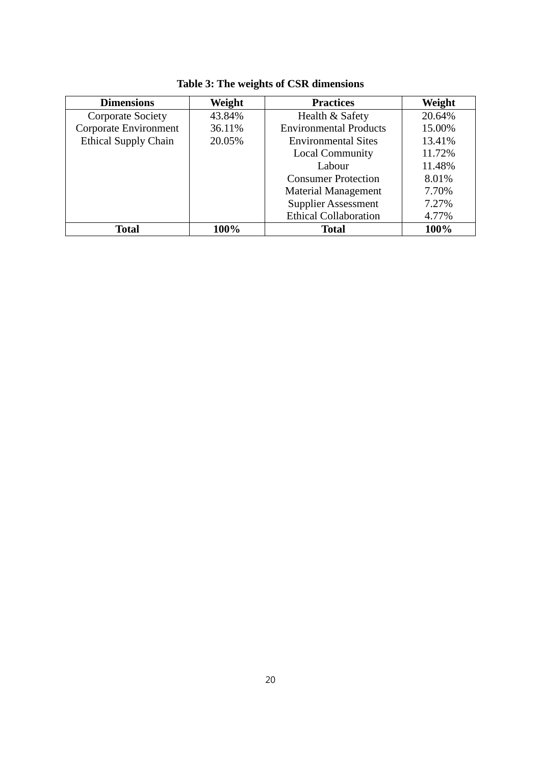| <b>Dimensions</b>           | Weight | <b>Practices</b>              | Weight |
|-----------------------------|--------|-------------------------------|--------|
| <b>Corporate Society</b>    | 43.84% | Health & Safety               | 20.64% |
| Corporate Environment       | 36.11% | <b>Environmental Products</b> | 15.00% |
| <b>Ethical Supply Chain</b> | 20.05% | <b>Environmental Sites</b>    | 13.41% |
|                             |        | <b>Local Community</b>        | 11.72% |
|                             |        | Labour                        | 11.48% |
|                             |        | <b>Consumer Protection</b>    | 8.01%  |
|                             |        | <b>Material Management</b>    | 7.70%  |
|                             |        | <b>Supplier Assessment</b>    | 7.27%  |
|                             |        | <b>Ethical Collaboration</b>  | 4.77%  |
| Total                       | 100%   | <b>Total</b>                  | 100%   |

| Table 3: The weights of CSR dimensions |  |
|----------------------------------------|--|
|----------------------------------------|--|